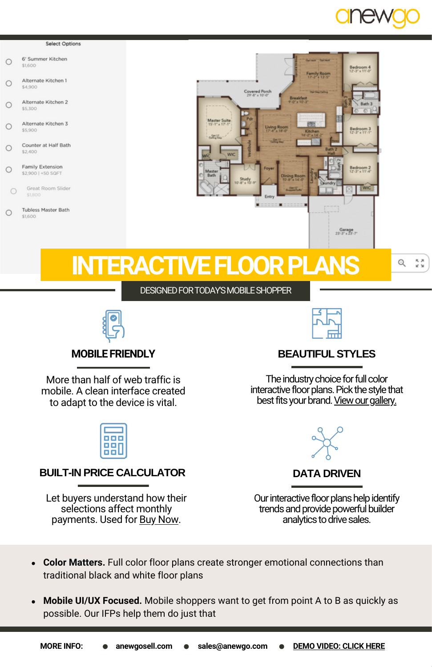

#### Salact Ontions

- 6' Summer Kitchen  $\bigcirc$ \$1600
- Alternate Kitchen 1  $\bigcap$ \$4,900
- Alternate Kitchen 2  $\circ$ \$5,300
- Alternate Kitchen 3  $\cap$ \$5,900
- Counter at Half Rath  $\circ$ \$2,400
- Family Extension  $\circ$ \$2,900 | +50 SQFT
- Great Room Slider  $\circ$

**Tubless Master Bath**  $\circ$ \$1600



# **INTERACTIVE FLOOR PLA**

Q  $\frac{\pi}{x}$   $\frac{\pi}{x}$ 

# DESIGNED FOR TODAY'S MOBILE SHOPPER



# **MOBILE FRIENDLY**

More than half of web traffic is mobile. A clean interface created to adapt to the device is vital.

# **BUILT-IN PRICE CALCULATOR DATA DRIVEN**

Let buyers understand how their selections affect monthly payments. Used for Buy [Now.](https://anewgosell.com/buy-now/)



# **BEAUTIFUL STYLES**

The industry choice for full color interactive floor plans. Pick the style that best fits your brand. View our gallery.



Our interactive floor plans help identify trends and provide powerful builder analytics to drive sales.

- **Color Matters.** Full color floor plans create stronger emotional connections than  $\bullet$ traditional black and white floor plans
- $\bullet$ **Mobile UI/UX Focused.** Mobile shoppers want to get from point A to B as quickly as possible. Our IFPs help them do just that